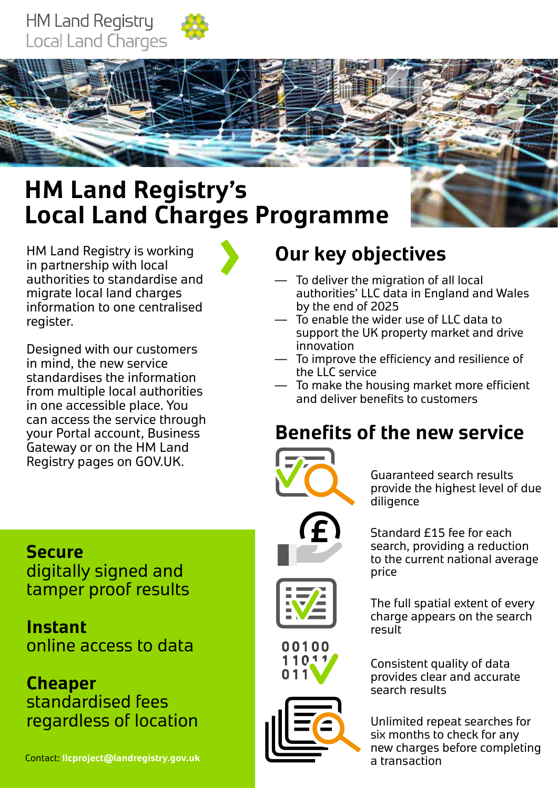



# **HM Land Registry's Local Land Charges Programme**

HM Land Registry is working in partnership with local authorities to standardise and migrate local land charges information to one centralised register.

Designed with our customers in mind, the new service standardises the information from multiple local authorities in one accessible place. You can access the service through your Portal account, Business Gateway or on the HM Land Registry pages on GOV.UK.

# **Our key objectives**

- To deliver the migration of all local authorities' LLC data in England and Wales by the end of 2025
- To enable the wider use of LLC data to support the UK property market and drive innovation
- $-$  To improve the efficiency and resilience of the LLC service
- $-$  To make the housing market more efficient and deliver benefits to customers

## **Benefts of the new service**



Guaranteed search results provide the highest level of due diligence

Standard £15 fee for each search, providing a reduction to the current national average price

The full spatial extent of every charge appears on the search result

Consistent quality of data provides clear and accurate search results

Unlimited repeat searches for six months to check for any new charges before completing a transaction

## **Secure**

digitally signed and tamper proof results

**Instant**  online access to data

**Cheaper**  standardised fees regardless of location